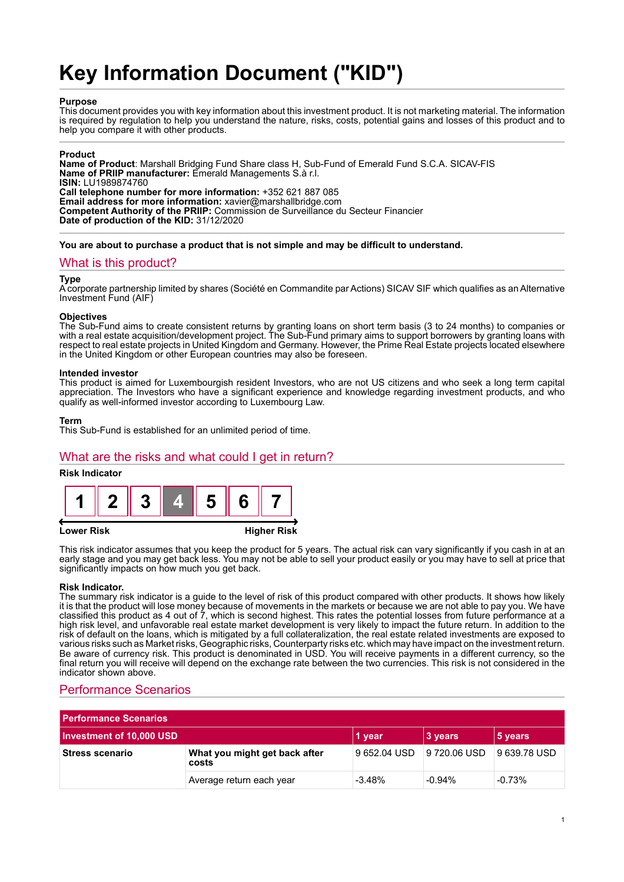# **Key Information Document ("KID")**

#### **Purpose**

This document provides you with key information about this investment product. It is not marketing material. The information is required by regulation to help you understand the nature, risks, costs, potential gains and losses of this product and to help you compare it with other products.

#### **Product**

**Name of Product**: Marshall Bridging Fund Share class H, Sub-Fund of Emerald Fund S.C.A. SICAV-FIS **Name of PRIIP manufacturer:** Emerald Managements S.à r.l. **ISIN:** LU1989874760 **Call telephone number for more information:** +352 621 887 085 **Email address for more information:** xavier@marshallbridge.com **Competent Authority of the PRIIP:** Commission de Surveillance du Secteur Financier **Date of production of the KID:** 31/12/2020

**You are about to purchase a product that is not simple and may be difficult to understand.**

### What is this product?

#### **Type**

A corporate partnership limited by shares (Société en Commandite par Actions) SICAV SIF which qualifies as an Alternative Investment Fund (AIF)

#### **Objectives**

The Sub-Fund aims to create consistent returns by granting loans on short term basis (3 to 24 months) to companies or with a real estate acquisition/development project. The Sub-Fund primary aims to support borrowers by granting loans with respect to real estate projects in United Kingdom and Germany. However, the Prime Real Estate projects located elsewhere in the United Kingdom or other European countries may also be foreseen.

#### **Intended investor**

This product is aimed for Luxembourgish resident Investors, who are not US citizens and who seek a long term capital appreciation. The Investors who have a significant experience and knowledge regarding investment products, and who qualify as well-informed investor according to Luxembourg Law.

#### **Term**

This Sub-Fund is established for an unlimited period of time.

## What are the risks and what could I get in return?

#### **Risk Indicator**



#### **Lower Risk Higher Risk**

This risk indicator assumes that you keep the product for 5 years. The actual risk can vary significantly if you cash in at an early stage and you may get back less. You may not be able to sell your product easily or you may have to sell at price that significantly impacts on how much you get back.

#### **Risk Indicator.**

The summary risk indicator is a guide to the level of risk of this product compared with other products. It shows how likely it is that the product will lose money because of movements in the markets or because we are not able to pay you. We have classified this product as 4 out of 7, which is second highest. This rates the potential losses from future performance at a high risk level, and unfavorable real estate market development is very likely to impact the future return. In addition to the risk of default on the loans, which is mitigated by a full collateralization, the real estate related investments are exposed to various risks such as Market risks, Geographic risks, Counterparty risks etc. which may have impact on the investment return. Be aware of currency risk. This product is denominated in USD. You will receive payments in a different currency, so the final return you will receive will depend on the exchange rate between the two currencies. This risk is not considered in the indicator shown above.

## Performance Scenarios

| <b>Performance Scenarios</b> |                                        |              |              |              |
|------------------------------|----------------------------------------|--------------|--------------|--------------|
| Investment of 10,000 USD     |                                        | 1 year       | 3 years      | 5 years      |
| <b>Stress scenario</b>       | What you might get back after<br>costs | 9 652.04 USD | 9 720.06 USD | 9 639.78 USD |
|                              | Average return each year               | $-3.48%$     | $-0.94\%$    | $-0.73%$     |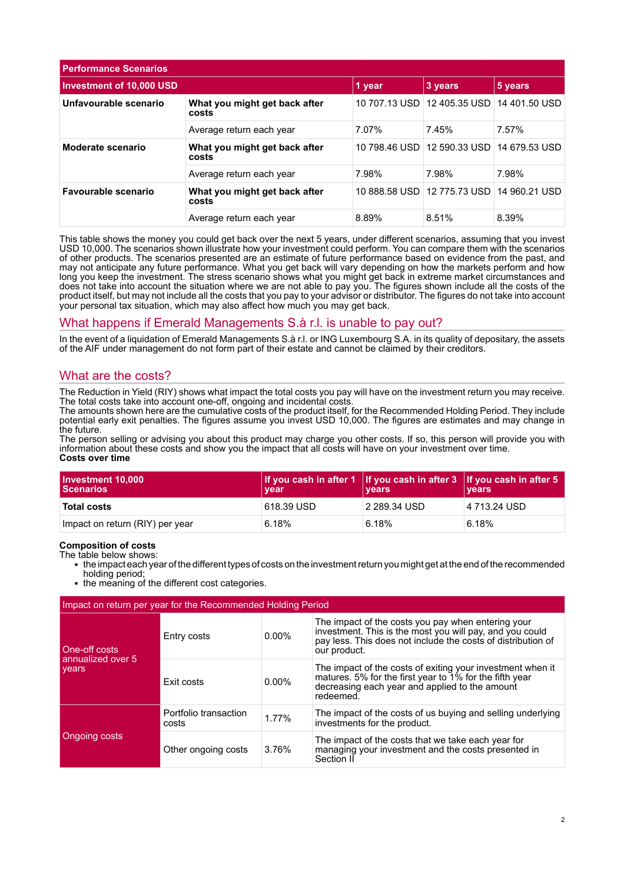| <b>Performance Scenarios</b> |                                        |               |                               |               |
|------------------------------|----------------------------------------|---------------|-------------------------------|---------------|
| Investment of 10,000 USD     |                                        | 1 year        | 3 years                       | 5 years       |
| Unfavourable scenario        | What you might get back after<br>costs |               | 10 707.13 USD 12 405.35 USD   | 14 401.50 USD |
|                              | Average return each year               | 7.07%         | 7.45%                         | 7.57%         |
| Moderate scenario            | What you might get back after<br>costs | 10 798.46 USD | 12 590.33 USD                 | 14 679.53 USD |
|                              | Average return each year               | 7.98%         | 7.98%                         | 7.98%         |
| Favourable scenario          | What you might get back after<br>costs |               | 10 888.58 USD   12 775.73 USD | 14 960.21 USD |
|                              | Average return each year               | 8.89%         | 8.51%                         | 8.39%         |

This table shows the money you could get back over the next 5 years, under different scenarios, assuming that you invest USD 10,000. The scenarios shown illustrate how your investment could perform. You can compare them with the scenarios of other products. The scenarios presented are an estimate of future performance based on evidence from the past, and may not anticipate any future performance. What you get back will vary depending on how the markets perform and how long you keep the investment. The stress scenario shows what you might get back in extreme market circumstances and does not take into account the situation where we are not able to pay you. The figures shown include all the costs of the product itself, but may not include all the costs that you pay to your advisor or distributor. The figures do not take into account your personal tax situation, which may also affect how much you may get back.

## What happens if Emerald Managements S.à r.l. is unable to pay out?

In the event of a liquidation of Emerald Managements S.à r.l. or ING Luxembourg S.A. in its quality of depositary, the assets of the AIF under management do not form part of their estate and cannot be claimed by their creditors.

## What are the costs?

The Reduction in Yield (RIY) shows what impact the total costs you pay will have on the investment return you may receive. The total costs take into account one-off, ongoing and incidental costs.

The amounts shown here are the cumulative costs of the product itself, for the Recommended Holding Period. They include potential early exit penalties. The figures assume you invest USD 10,000. The figures are estimates and may change in the future.

The person selling or advising you about this product may charge you other costs. If so, this person will provide you with information about these costs and show you the impact that all costs will have on your investment over time. **Costs over time**

| Investment 10,000<br><b>Scenarios</b> | If you cash in after 1 If you cash in after $3$ If you cash in after 5<br>vear | <b>vears</b> | <b>vears</b> |
|---------------------------------------|--------------------------------------------------------------------------------|--------------|--------------|
| <b>Total costs</b>                    | 618.39 USD                                                                     | 2 289.34 USD | 4 713.24 USD |
| Impact on return (RIY) per year       | 6.18%                                                                          | 6.18%        | 6.18%        |

#### **Composition of costs**

The table below shows:

- 1 the impact each year of the different types of costs on the investment return you might get at the end of the recommended holding period;
- the meaning of the different cost categories.

| Impact on return per year for the Recommended Holding Period |                                |          |                                                                                                                                                                                                |  |
|--------------------------------------------------------------|--------------------------------|----------|------------------------------------------------------------------------------------------------------------------------------------------------------------------------------------------------|--|
| One-off costs<br>annualized over 5<br>vears                  | Entry costs                    | $0.00\%$ | The impact of the costs you pay when entering your<br>investment. This is the most you will pay, and you could<br>pay less. This does not include the costs of distribution of<br>our product. |  |
|                                                              | Exit costs                     | $0.00\%$ | The impact of the costs of exiting your investment when it<br>matures. 5% for the first year to 1% for the fifth year<br>decreasing each year and applied to the amount<br>redeemed.           |  |
| Ongoing costs                                                | Portfolio transaction<br>costs | 1.77%    | The impact of the costs of us buying and selling underlying<br>investments for the product.                                                                                                    |  |
|                                                              | Other ongoing costs            | 3.76%    | The impact of the costs that we take each year for<br>managing your investment and the costs presented in<br>Section II                                                                        |  |